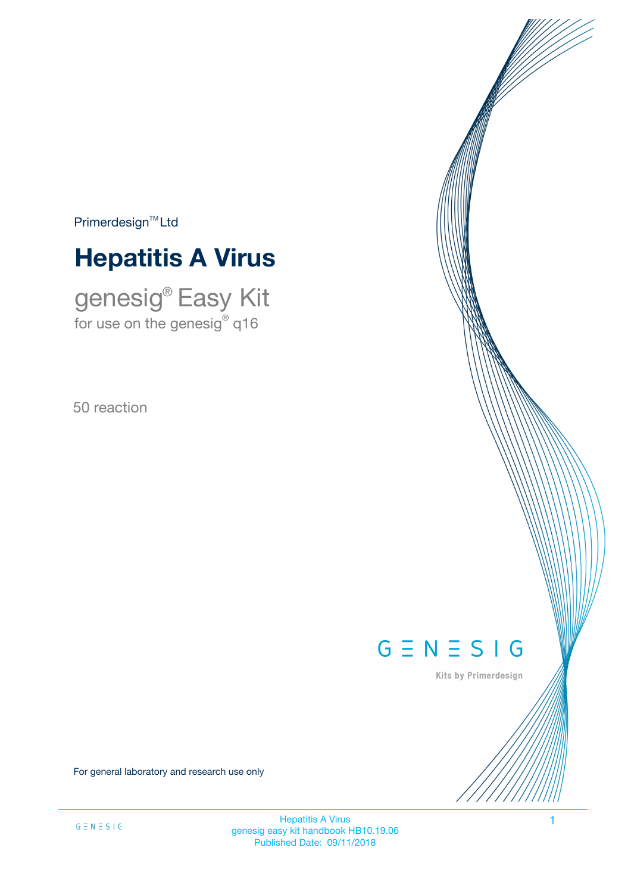$Primerdesign<sup>™</sup>Ltd$ 

# **Hepatitis A Virus**

genesig® Easy Kit for use on the genesig $^\circ$  q16

50 reaction

# $G \equiv N \equiv S \mid G$

Kits by Primerdesign

For general laboratory and research use only

**Hepatitis A Virus 1** genesig easy kit handbook HB10.19.06 Published Date: 09/11/2018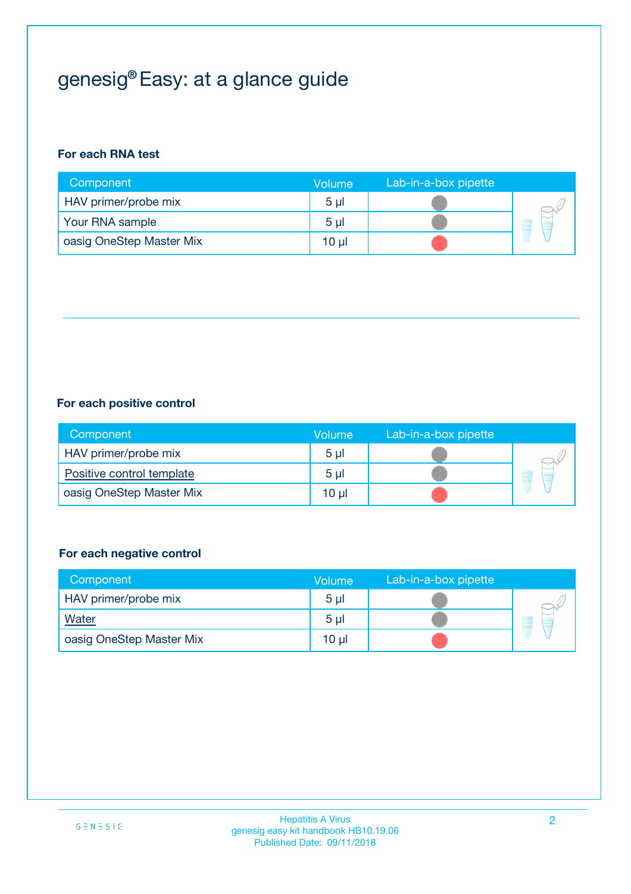# genesig® Easy: at a glance guide

### **For each RNA test**

| Component                | <b>Volume</b>  | Lab-in-a-box pipette |  |
|--------------------------|----------------|----------------------|--|
| HAV primer/probe mix     | 5 <sub>µ</sub> |                      |  |
| Your RNA sample          | 5 <sub>µ</sub> |                      |  |
| oasig OneStep Master Mix | 10 µl          |                      |  |

### **For each positive control**

| Component                 | Volume         | Lab-in-a-box pipette |   |
|---------------------------|----------------|----------------------|---|
| HAV primer/probe mix      | 5 <sub>µ</sub> |                      |   |
| Positive control template | 5 <sub>µ</sub> |                      | Ξ |
| oasig OneStep Master Mix  | 10 µl          |                      |   |

#### **For each negative control**

| Component                | Volume         | Lab-in-a-box pipette |   |
|--------------------------|----------------|----------------------|---|
| HAV primer/probe mix     | 5 <sub>µ</sub> |                      |   |
| <b>Water</b>             | 5 <sub>µ</sub> |                      | - |
| oasig OneStep Master Mix | 10 µl          |                      |   |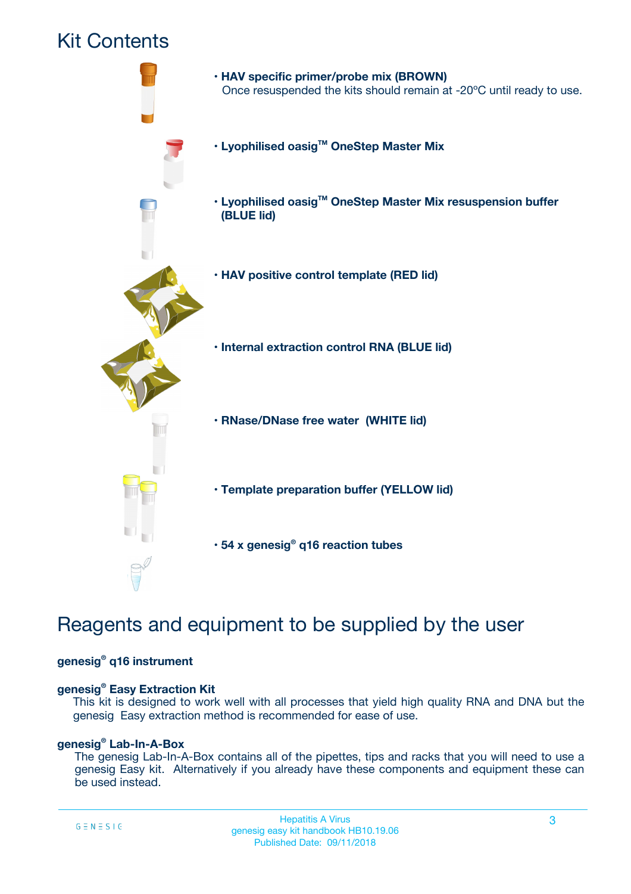## Kit Contents



## Reagents and equipment to be supplied by the user

#### **genesig® q16 instrument**

#### **genesig® Easy Extraction Kit**

This kit is designed to work well with all processes that yield high quality RNA and DNA but the genesig Easy extraction method is recommended for ease of use.

#### **genesig® Lab-In-A-Box**

The genesig Lab-In-A-Box contains all of the pipettes, tips and racks that you will need to use a genesig Easy kit. Alternatively if you already have these components and equipment these can be used instead.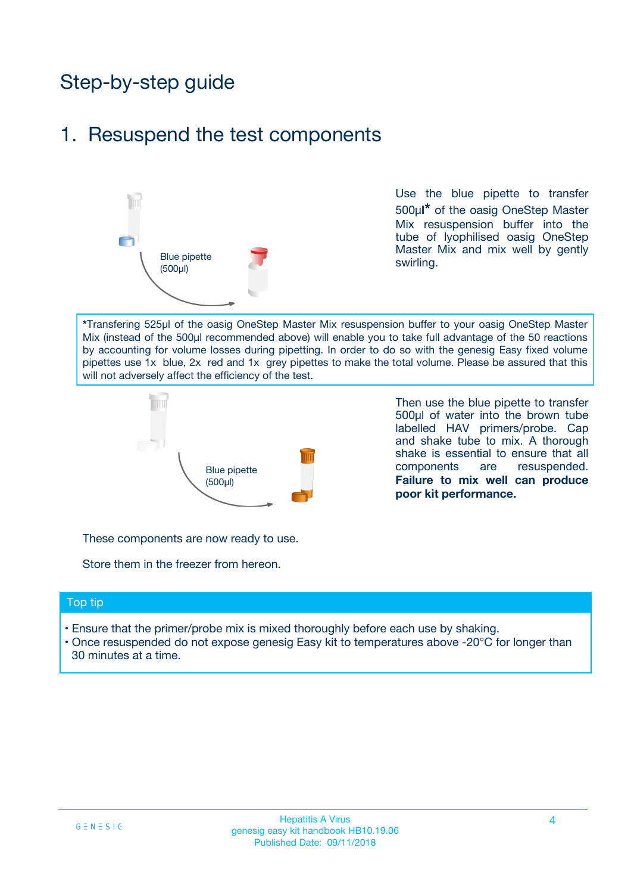# Step-by-step guide

### 1. Resuspend the test components



Use the blue pipette to transfer 500µ**l\*** of the oasig OneStep Master Mix resuspension buffer into the tube of lyophilised oasig OneStep Master Mix and mix well by gently swirling.

**\***Transfering 525µl of the oasig OneStep Master Mix resuspension buffer to your oasig OneStep Master Mix (instead of the 500µl recommended above) will enable you to take full advantage of the 50 reactions by accounting for volume losses during pipetting. In order to do so with the genesig Easy fixed volume pipettes use 1x blue, 2x red and 1x grey pipettes to make the total volume. Please be assured that this will not adversely affect the efficiency of the test.



Then use the blue pipette to transfer 500µl of water into the brown tube labelled HAV primers/probe. Cap and shake tube to mix. A thorough shake is essential to ensure that all components are resuspended. **Failure to mix well can produce poor kit performance.**

These components are now ready to use.

Store them in the freezer from hereon.

#### Top tip

- Ensure that the primer/probe mix is mixed thoroughly before each use by shaking.
- Once resuspended do not expose genesig Easy kit to temperatures above -20°C for longer than 30 minutes at a time.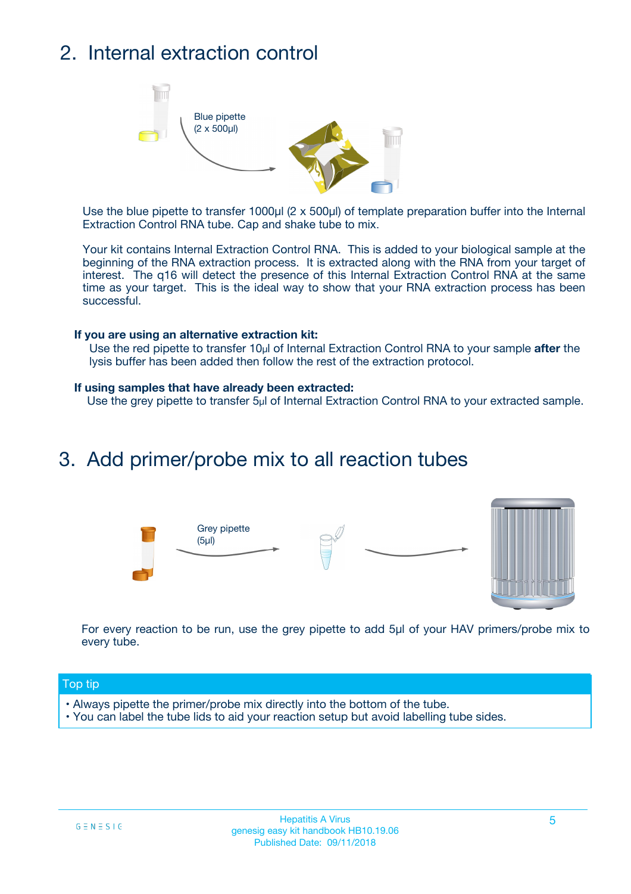# 2. Internal extraction control



Use the blue pipette to transfer 1000µl (2 x 500µl) of template preparation buffer into the Internal Extraction Control RNA tube. Cap and shake tube to mix.

Your kit contains Internal Extraction Control RNA. This is added to your biological sample at the beginning of the RNA extraction process. It is extracted along with the RNA from your target of interest. The q16 will detect the presence of this Internal Extraction Control RNA at the same time as your target. This is the ideal way to show that your RNA extraction process has been successful.

#### **If you are using an alternative extraction kit:**

Use the red pipette to transfer 10µl of Internal Extraction Control RNA to your sample **after** the lysis buffer has been added then follow the rest of the extraction protocol.

#### **If using samples that have already been extracted:**

Use the grey pipette to transfer 5µl of Internal Extraction Control RNA to your extracted sample.

### 3. Add primer/probe mix to all reaction tubes





For every reaction to be run, use the grey pipette to add 5µl of your HAV primers/probe mix to every tube.

#### Top tip

- Always pipette the primer/probe mix directly into the bottom of the tube.
- You can label the tube lids to aid your reaction setup but avoid labelling tube sides.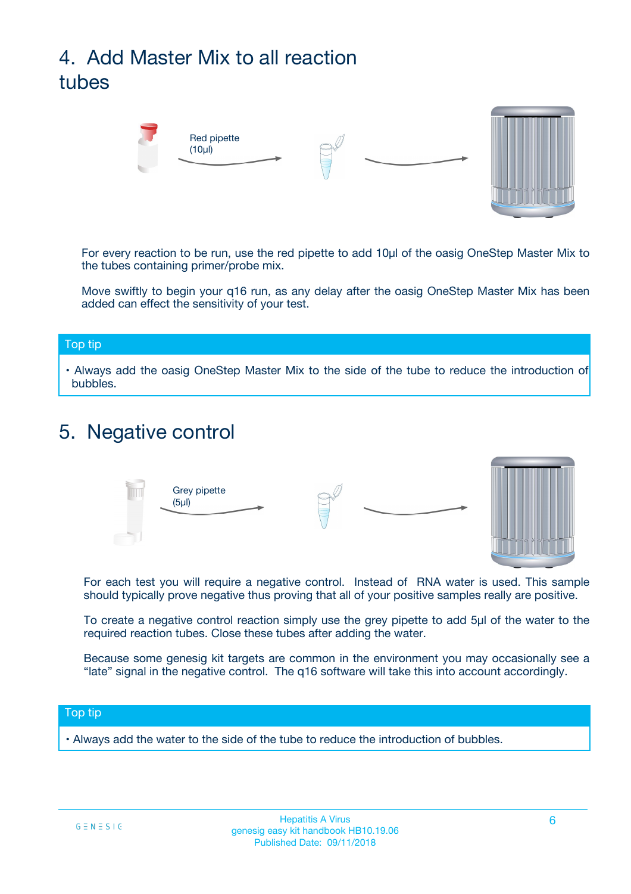# 4. Add Master Mix to all reaction tubes



For every reaction to be run, use the red pipette to add 10µl of the oasig OneStep Master Mix to the tubes containing primer/probe mix.

Move swiftly to begin your q16 run, as any delay after the oasig OneStep Master Mix has been added can effect the sensitivity of your test.

#### Top tip

**•** Always add the oasig OneStep Master Mix to the side of the tube to reduce the introduction of bubbles.

### 5. Negative control



For each test you will require a negative control. Instead of RNA water is used. This sample should typically prove negative thus proving that all of your positive samples really are positive.

To create a negative control reaction simply use the grey pipette to add 5µl of the water to the required reaction tubes. Close these tubes after adding the water.

Because some genesig kit targets are common in the environment you may occasionally see a "late" signal in the negative control. The q16 software will take this into account accordingly.

#### Top tip

**•** Always add the water to the side of the tube to reduce the introduction of bubbles.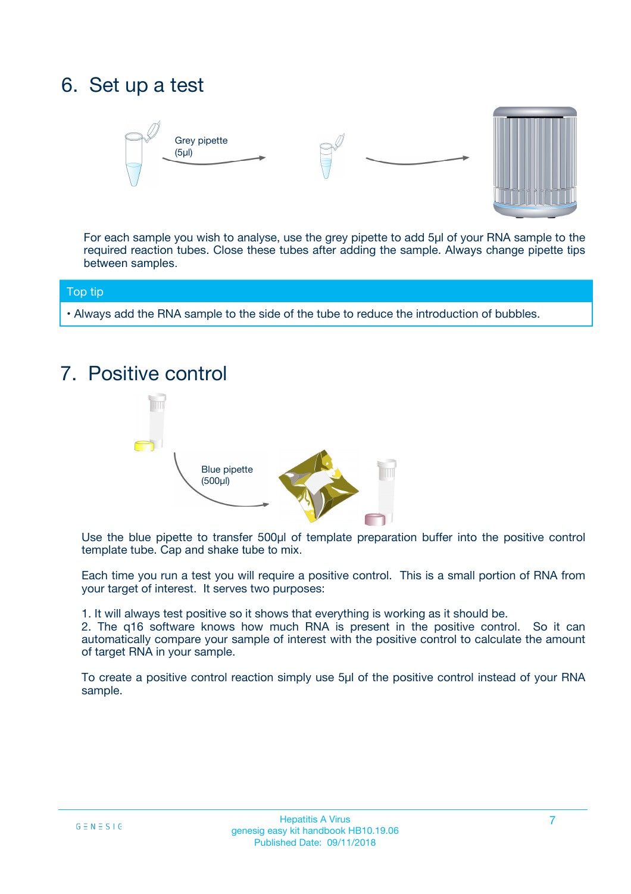## 6. Set up a test





For each sample you wish to analyse, use the grey pipette to add 5µl of your RNA sample to the required reaction tubes. Close these tubes after adding the sample. Always change pipette tips between samples.

#### Top tip

**•** Always add the RNA sample to the side of the tube to reduce the introduction of bubbles.

## 7. Positive control



Use the blue pipette to transfer 500µl of template preparation buffer into the positive control template tube. Cap and shake tube to mix.

Each time you run a test you will require a positive control. This is a small portion of RNA from your target of interest. It serves two purposes:

1. It will always test positive so it shows that everything is working as it should be.

2. The q16 software knows how much RNA is present in the positive control. So it can automatically compare your sample of interest with the positive control to calculate the amount of target RNA in your sample.

To create a positive control reaction simply use 5µl of the positive control instead of your RNA sample.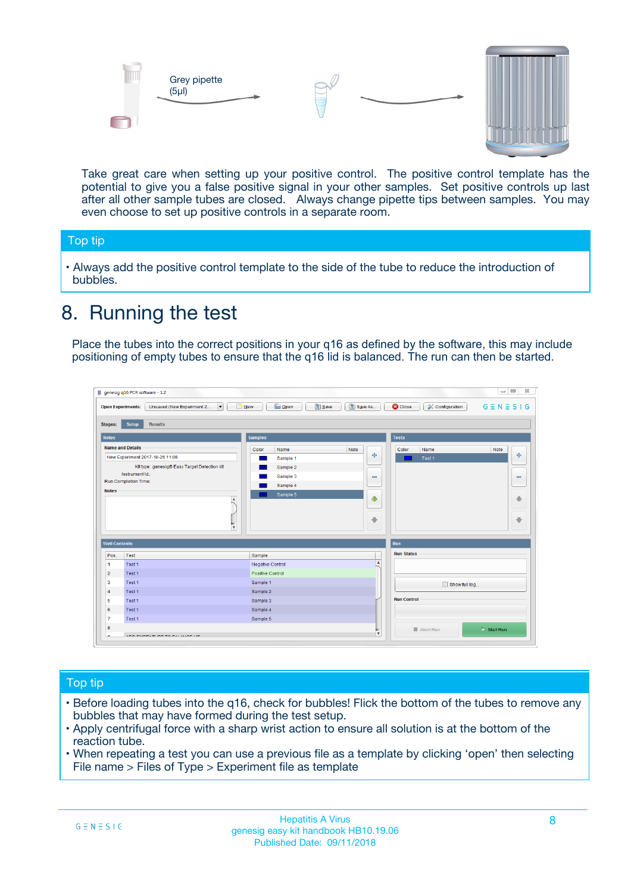



Take great care when setting up your positive control. The positive control template has the potential to give you a false positive signal in your other samples. Set positive controls up last after all other sample tubes are closed. Always change pipette tips between samples. You may even choose to set up positive controls in a separate room.

#### Top tip

**•** Always add the positive control template to the side of the tube to reduce the introduction of bubbles.

## 8. Running the test

Place the tubes into the correct positions in your q16 as defined by the software, this may include positioning of empty tubes to ensure that the q16 lid is balanced. The run can then be started.

|                         | genesig q16 PCR software - 1.2<br><b>Open Experiments:</b><br>Unsaved (New Experiment 2<br>$\blacktriangledown$                                                                                      | <b>E</b> Open<br>Save<br>$\sqrt{2}$ New                                   | $\Box$<br>Save As<br>$G \equiv N \equiv S \mid G$<br><b>B</b> Close<br><b>X</b> Configuration                    |
|-------------------------|------------------------------------------------------------------------------------------------------------------------------------------------------------------------------------------------------|---------------------------------------------------------------------------|------------------------------------------------------------------------------------------------------------------|
| Stages:<br><b>Notes</b> | Setup<br><b>Results</b>                                                                                                                                                                              | <b>Samples</b>                                                            |                                                                                                                  |
| <b>Notes</b>            | <b>Name and Details</b><br>New Experiment 2017-10-26 11:06<br>Kit type: genesig® Easy Target Detection kit<br>Instrument Id.:<br>Run Completion Time:<br>$\blacktriangle$<br>$\overline{\mathbf{v}}$ | Color<br>Name<br>Sample 1<br>Sample 2<br>Sample 3<br>Sample 4<br>Sample 5 | <b>Tests</b><br>Note<br>Color<br>Note<br>Name<br>على<br>4<br>Test 1<br>$\equiv$<br>$\equiv$<br>一个<br>借<br>÷<br>⊕ |
| <b>Well Contents</b>    |                                                                                                                                                                                                      |                                                                           | Run                                                                                                              |
| Pos.                    | Test                                                                                                                                                                                                 | Sample                                                                    | <b>Run Status</b>                                                                                                |
| $\blacktriangleleft$    | Test 1                                                                                                                                                                                               | Negative Control                                                          | $\blacktriangle$                                                                                                 |
| $\overline{2}$          | Test 1                                                                                                                                                                                               | Positive Control                                                          |                                                                                                                  |
| 3                       | Test 1                                                                                                                                                                                               | Sample 1                                                                  | Show full log                                                                                                    |
| $\overline{4}$          | Test 1                                                                                                                                                                                               | Sample 2                                                                  |                                                                                                                  |
| 5                       | Test 1                                                                                                                                                                                               | Sample 3                                                                  | <b>Run Control</b>                                                                                               |
| 6                       | Test <sub>1</sub>                                                                                                                                                                                    | Sample 4                                                                  |                                                                                                                  |
| $\overline{7}$          | Test 1                                                                                                                                                                                               | Sample 5                                                                  |                                                                                                                  |
| 8                       |                                                                                                                                                                                                      |                                                                           | $\triangleright$ Start Run<br>■ Abort Run                                                                        |
|                         |                                                                                                                                                                                                      |                                                                           | $\overline{\mathbf{v}}$                                                                                          |

#### Top tip

- Before loading tubes into the q16, check for bubbles! Flick the bottom of the tubes to remove any bubbles that may have formed during the test setup.
- Apply centrifugal force with a sharp wrist action to ensure all solution is at the bottom of the reaction tube.
- When repeating a test you can use a previous file as a template by clicking 'open' then selecting File name > Files of Type > Experiment file as template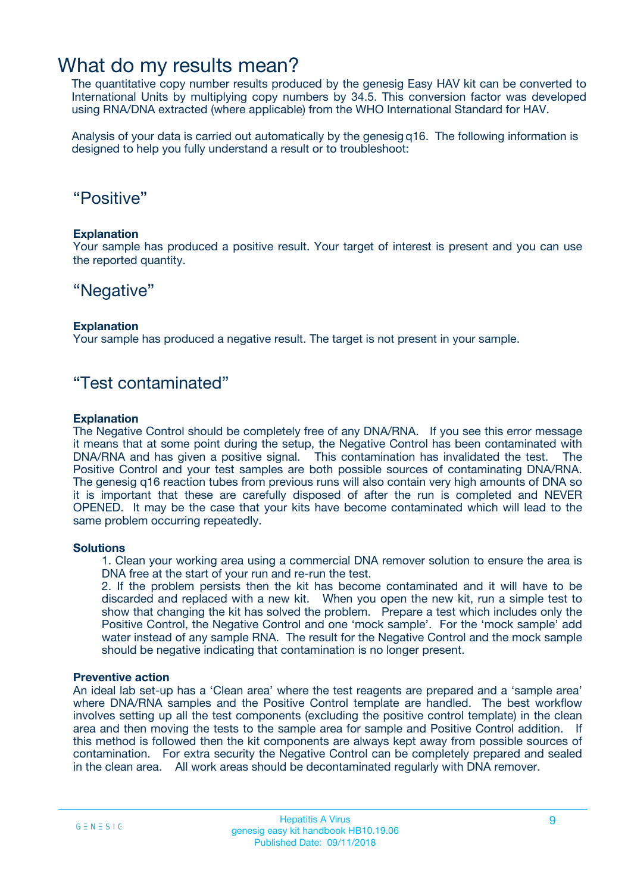### What do my results mean?

The quantitative copy number results produced by the genesig Easy HAV kit can be converted to International Units by multiplying copy numbers by 34.5. This conversion factor was developed using RNA/DNA extracted (where applicable) from the WHO International Standard for HAV.

Analysis of your data is carried out automatically by the genesig q16. The following information is designed to help you fully understand a result or to troubleshoot:

### "Positive"

#### **Explanation**

Your sample has produced a positive result. Your target of interest is present and you can use the reported quantity.

### "Negative"

#### **Explanation**

Your sample has produced a negative result. The target is not present in your sample.

### "Test contaminated"

#### **Explanation**

The Negative Control should be completely free of any DNA/RNA. If you see this error message it means that at some point during the setup, the Negative Control has been contaminated with DNA/RNA and has given a positive signal. This contamination has invalidated the test. The Positive Control and your test samples are both possible sources of contaminating DNA/RNA. The genesig q16 reaction tubes from previous runs will also contain very high amounts of DNA so it is important that these are carefully disposed of after the run is completed and NEVER OPENED. It may be the case that your kits have become contaminated which will lead to the same problem occurring repeatedly.

#### **Solutions**

1. Clean your working area using a commercial DNA remover solution to ensure the area is DNA free at the start of your run and re-run the test.

2. If the problem persists then the kit has become contaminated and it will have to be discarded and replaced with a new kit. When you open the new kit, run a simple test to show that changing the kit has solved the problem. Prepare a test which includes only the Positive Control, the Negative Control and one 'mock sample'. For the 'mock sample' add water instead of any sample RNA. The result for the Negative Control and the mock sample should be negative indicating that contamination is no longer present.

#### **Preventive action**

An ideal lab set-up has a 'Clean area' where the test reagents are prepared and a 'sample area' where DNA/RNA samples and the Positive Control template are handled. The best workflow involves setting up all the test components (excluding the positive control template) in the clean area and then moving the tests to the sample area for sample and Positive Control addition. If this method is followed then the kit components are always kept away from possible sources of contamination. For extra security the Negative Control can be completely prepared and sealed in the clean area. All work areas should be decontaminated regularly with DNA remover.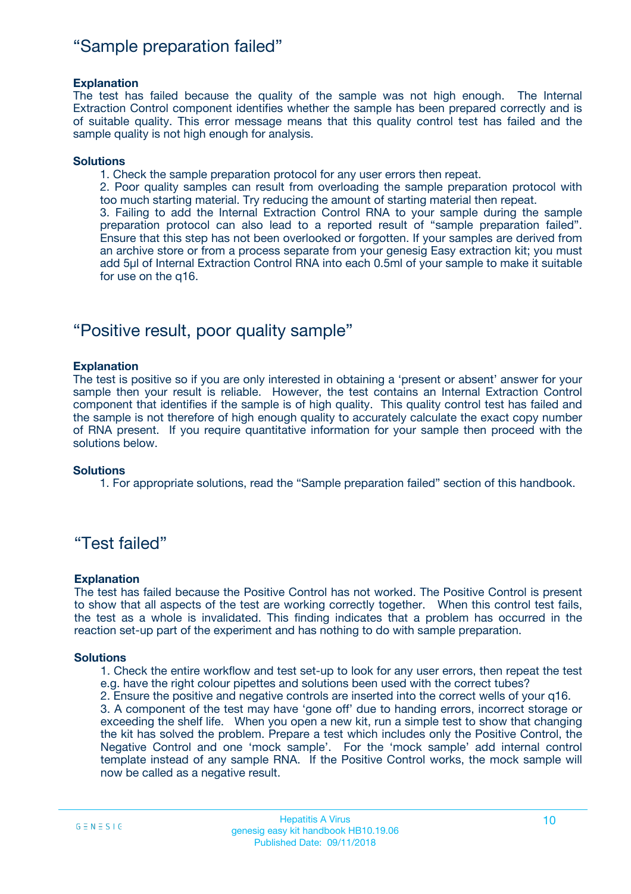### "Sample preparation failed"

#### **Explanation**

The test has failed because the quality of the sample was not high enough. The Internal Extraction Control component identifies whether the sample has been prepared correctly and is of suitable quality. This error message means that this quality control test has failed and the sample quality is not high enough for analysis.

#### **Solutions**

1. Check the sample preparation protocol for any user errors then repeat.

2. Poor quality samples can result from overloading the sample preparation protocol with too much starting material. Try reducing the amount of starting material then repeat.

3. Failing to add the Internal Extraction Control RNA to your sample during the sample preparation protocol can also lead to a reported result of "sample preparation failed". Ensure that this step has not been overlooked or forgotten. If your samples are derived from an archive store or from a process separate from your genesig Easy extraction kit; you must add 5µl of Internal Extraction Control RNA into each 0.5ml of your sample to make it suitable for use on the q16.

### "Positive result, poor quality sample"

#### **Explanation**

The test is positive so if you are only interested in obtaining a 'present or absent' answer for your sample then your result is reliable. However, the test contains an Internal Extraction Control component that identifies if the sample is of high quality. This quality control test has failed and the sample is not therefore of high enough quality to accurately calculate the exact copy number of RNA present. If you require quantitative information for your sample then proceed with the solutions below.

#### **Solutions**

1. For appropriate solutions, read the "Sample preparation failed" section of this handbook.

### "Test failed"

#### **Explanation**

The test has failed because the Positive Control has not worked. The Positive Control is present to show that all aspects of the test are working correctly together. When this control test fails, the test as a whole is invalidated. This finding indicates that a problem has occurred in the reaction set-up part of the experiment and has nothing to do with sample preparation.

#### **Solutions**

1. Check the entire workflow and test set-up to look for any user errors, then repeat the test e.g. have the right colour pipettes and solutions been used with the correct tubes?

2. Ensure the positive and negative controls are inserted into the correct wells of your q16.

3. A component of the test may have 'gone off' due to handing errors, incorrect storage or exceeding the shelf life. When you open a new kit, run a simple test to show that changing the kit has solved the problem. Prepare a test which includes only the Positive Control, the Negative Control and one 'mock sample'. For the 'mock sample' add internal control template instead of any sample RNA. If the Positive Control works, the mock sample will now be called as a negative result.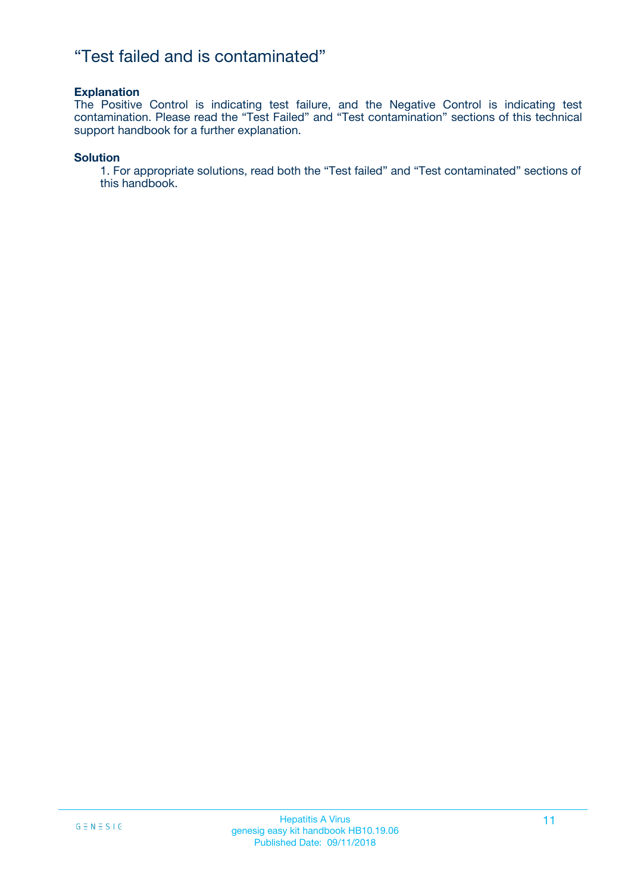### "Test failed and is contaminated"

#### **Explanation**

The Positive Control is indicating test failure, and the Negative Control is indicating test contamination. Please read the "Test Failed" and "Test contamination" sections of this technical support handbook for a further explanation.

#### **Solution**

1. For appropriate solutions, read both the "Test failed" and "Test contaminated" sections of this handbook.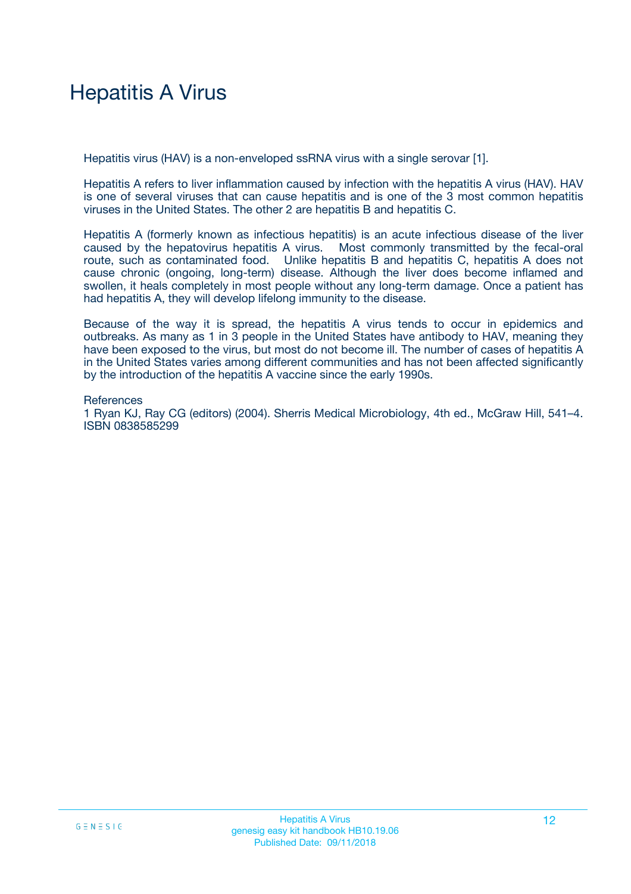# Hepatitis A Virus

Hepatitis virus (HAV) is a non-enveloped ssRNA virus with a single serovar [1].

Hepatitis A refers to liver inflammation caused by infection with the hepatitis A virus (HAV). HAV is one of several viruses that can cause hepatitis and is one of the 3 most common hepatitis viruses in the United States. The other 2 are hepatitis B and hepatitis C.

Hepatitis A (formerly known as infectious hepatitis) is an acute infectious disease of the liver caused by the hepatovirus hepatitis A virus. Most commonly transmitted by the fecal-oral route, such as contaminated food. Unlike hepatitis B and hepatitis C, hepatitis A does not cause chronic (ongoing, long-term) disease. Although the liver does become inflamed and swollen, it heals completely in most people without any long-term damage. Once a patient has had hepatitis A, they will develop lifelong immunity to the disease.

Because of the way it is spread, the hepatitis A virus tends to occur in epidemics and outbreaks. As many as 1 in 3 people in the United States have antibody to HAV, meaning they have been exposed to the virus, but most do not become ill. The number of cases of hepatitis A in the United States varies among different communities and has not been affected significantly by the introduction of the hepatitis A vaccine since the early 1990s.

**References** 1 Ryan KJ, Ray CG (editors) (2004). Sherris Medical Microbiology, 4th ed., McGraw Hill, 541–4. ISBN 0838585299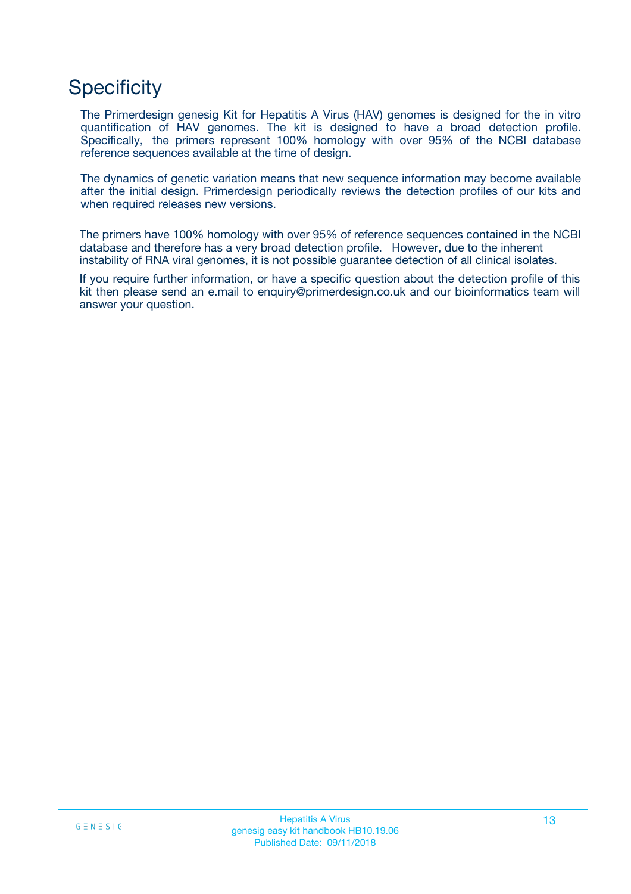# **Specificity**

The Primerdesign genesig Kit for Hepatitis A Virus (HAV) genomes is designed for the in vitro quantification of HAV genomes. The kit is designed to have a broad detection profile. Specifically, the primers represent 100% homology with over 95% of the NCBI database reference sequences available at the time of design.

The dynamics of genetic variation means that new sequence information may become available after the initial design. Primerdesign periodically reviews the detection profiles of our kits and when required releases new versions.

The primers have 100% homology with over 95% of reference sequences contained in the NCBI database and therefore has a very broad detection profile. However, due to the inherent instability of RNA viral genomes, it is not possible guarantee detection of all clinical isolates.

If you require further information, or have a specific question about the detection profile of this kit then please send an e.mail to enquiry@primerdesign.co.uk and our bioinformatics team will answer your question.